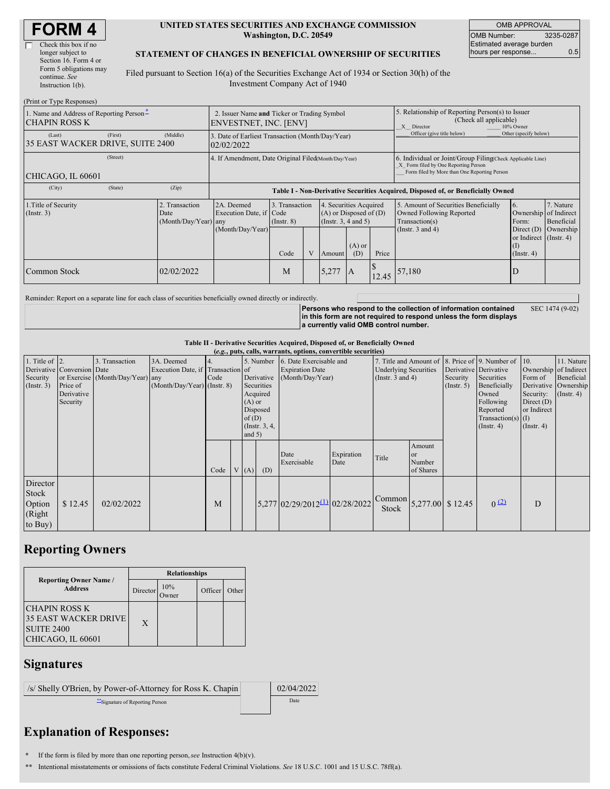| <b>FORM4</b> |
|--------------|
|--------------|

| Check this box if no   |
|------------------------|
| longer subject to      |
| Section 16. Form 4 or  |
| Form 5 obligations may |
| continue. See          |
| Instruction $l(b)$ .   |

#### **UNITED STATES SECURITIES AND EXCHANGE COMMISSION Washington, D.C. 20549**

OMB APPROVAL OMB Number: 3235-0287 Estimated average burden hours per response... 6.5

SEC 1474 (9-02)

#### **STATEMENT OF CHANGES IN BENEFICIAL OWNERSHIP OF SECURITIES**

Filed pursuant to Section 16(a) of the Securities Exchange Act of 1934 or Section 30(h) of the Investment Company Act of 1940

| (Print or Type Responses)                                          |         |                                                                      |                                                                                  |                                   |              |                                                                                  |                                                                                                                                                    |                                                                                                       |                                                                                                             |                                                      |                                      |
|--------------------------------------------------------------------|---------|----------------------------------------------------------------------|----------------------------------------------------------------------------------|-----------------------------------|--------------|----------------------------------------------------------------------------------|----------------------------------------------------------------------------------------------------------------------------------------------------|-------------------------------------------------------------------------------------------------------|-------------------------------------------------------------------------------------------------------------|------------------------------------------------------|--------------------------------------|
| 1. Name and Address of Reporting Person-<br>CHAPIN ROSS K          |         | 2. Issuer Name and Ticker or Trading Symbol<br>ENVESTNET, INC. [ENV] |                                                                                  |                                   |              |                                                                                  |                                                                                                                                                    | 5. Relationship of Reporting Person(s) to Issuer<br>(Check all applicable)<br>X Director<br>10% Owner |                                                                                                             |                                                      |                                      |
| (Last)<br>35 EAST WACKER DRIVE, SUITE 2400                         | (First) | (Middle)                                                             | 3. Date of Earliest Transaction (Month/Day/Year)<br>02/02/2022                   |                                   |              |                                                                                  |                                                                                                                                                    | Officer (give title below)                                                                            | Other (specify below)                                                                                       |                                                      |                                      |
| CHICAGO, IL 60601                                                  |         | 4. If Amendment, Date Original Filed(Month/Day/Year)                 |                                                                                  |                                   |              |                                                                                  | 6. Individual or Joint/Group Filing(Check Applicable Line)<br>X Form filed by One Reporting Person<br>Form filed by More than One Reporting Person |                                                                                                       |                                                                                                             |                                                      |                                      |
| (City)                                                             | (State) | (Zip)                                                                | Table I - Non-Derivative Securities Acquired, Disposed of, or Beneficially Owned |                                   |              |                                                                                  |                                                                                                                                                    |                                                                                                       |                                                                                                             |                                                      |                                      |
| 1. Title of Security<br>2. Transaction<br>$($ Instr. 3 $)$<br>Date |         | (Month/Day/Year) any                                                 | 2A. Deemed<br>Execution Date, if Code<br>(Month/Day/Year)                        | 3. Transaction<br>$($ Instr. $8)$ |              | 4. Securities Acquired<br>$(A)$ or Disposed of $(D)$<br>(Instr. $3, 4$ and $5$ ) |                                                                                                                                                    |                                                                                                       | 5. Amount of Securities Beneficially<br>Owned Following Reported<br>Transaction(s)<br>(Instr. $3$ and $4$ ) | 6.<br>Ownership of Indirect<br>Form:<br>Direct $(D)$ | 7. Nature<br>Beneficial<br>Ownership |
|                                                                    |         |                                                                      |                                                                                  | Code                              | $\mathbf{V}$ | Amoun                                                                            | $(A)$ or<br>(D)                                                                                                                                    | Price                                                                                                 |                                                                                                             | or Indirect (Instr. 4)<br>$($ Instr. 4 $)$           |                                      |
| Common Stock                                                       |         | 02/02/2022                                                           |                                                                                  | M                                 |              | 5,277                                                                            | 1A                                                                                                                                                 | 12.45                                                                                                 | 57,180                                                                                                      | D                                                    |                                      |

Reminder: Report on a separate line for each class of securities beneficially owned directly or indirectly.

**Persons who respond to the collection of information contained in this form are not required to respond unless the form displays a currently valid OMB control number.**

**Table II - Derivative Securities Acquired, Disposed of, or Beneficially Owned**

| (e.g., puts, calls, warrants, options, convertible securities) |                                                                  |                                                    |                                                                                  |            |  |                               |                                                                        |                                                                                 |                    |                                                                                                          |                                       |                         |                                                                                                                              |                                                                                        |                                                                                               |
|----------------------------------------------------------------|------------------------------------------------------------------|----------------------------------------------------|----------------------------------------------------------------------------------|------------|--|-------------------------------|------------------------------------------------------------------------|---------------------------------------------------------------------------------|--------------------|----------------------------------------------------------------------------------------------------------|---------------------------------------|-------------------------|------------------------------------------------------------------------------------------------------------------------------|----------------------------------------------------------------------------------------|-----------------------------------------------------------------------------------------------|
| 1. Title of $\vert$ 2.<br>Security<br>$($ Instr. 3 $)$         | Derivative Conversion Date<br>Price of<br>Derivative<br>Security | 3. Transaction<br>or Exercise (Month/Day/Year) any | 3A. Deemed<br>Execution Date, if Transaction of<br>$(Month/Day/Year)$ (Instr. 8) | 4.<br>Code |  | $(A)$ or<br>of(D)<br>and $5)$ | Derivative<br>Securities<br>Acquired<br>Disposed<br>$($ Instr. $3, 4,$ | 5. Number 6. Date Exercisable and<br><b>Expiration Date</b><br>(Month/Day/Year) |                    | 7. Title and Amount of 8. Price of 9. Number of<br><b>Underlying Securities</b><br>(Instr. $3$ and $4$ ) |                                       | Security<br>(Insert. 5) | Derivative Derivative<br>Securities<br>Beneficially<br>Owned<br>Following<br>Reported<br>Transaction(s) $(I)$<br>(Insert. 4) | $\vert$ 10.<br>Form of<br>Security:<br>Direct $(D)$<br>or Indirect<br>$($ Instr. 4 $)$ | 11. Nature<br>Ownership of Indirect<br>Beneficial<br>Derivative Ownership<br>$($ Instr. 4 $)$ |
|                                                                |                                                                  |                                                    |                                                                                  | Code       |  | V(A)                          | (D)                                                                    | Date<br>Exercisable                                                             | Expiration<br>Date | Title                                                                                                    | Amount<br>l or<br>Number<br>of Shares |                         |                                                                                                                              |                                                                                        |                                                                                               |
| Director<br>Stock<br>Option<br>(Right)<br>to Buy)              | \$12.45                                                          | 02/02/2022                                         |                                                                                  | M          |  |                               |                                                                        | $5,277$ 02/29/2012 <sup>(1)</sup> 02/28/2022                                    |                    | $\int \text{Common}$ 5,277.00 \ \$ 12.45<br>Stock                                                        |                                       |                         | 0(2)                                                                                                                         | D                                                                                      |                                                                                               |

## **Reporting Owners**

|                                                                                               | <b>Relationships</b> |                     |         |       |  |  |  |  |
|-----------------------------------------------------------------------------------------------|----------------------|---------------------|---------|-------|--|--|--|--|
| <b>Reporting Owner Name /</b><br><b>Address</b>                                               | Director             | 10%<br><b>)wner</b> | Officer | Other |  |  |  |  |
| <b>CHAPIN ROSS K</b><br><b>35 EAST WACKER DRIVE</b><br><b>SUITE 2400</b><br>CHICAGO, IL 60601 | X                    |                     |         |       |  |  |  |  |

### **Signatures**

| /s/ Shelly O'Brien, by Power-of-Attorney for Ross K. Chapin | 02/04/2022 |
|-------------------------------------------------------------|------------|
| Signature of Reporting Person                               | Date       |
|                                                             |            |

# **Explanation of Responses:**

**\*** If the form is filed by more than one reporting person,*see* Instruction 4(b)(v).

**\*\*** Intentional misstatements or omissions of facts constitute Federal Criminal Violations. *See* 18 U.S.C. 1001 and 15 U.S.C. 78ff(a).